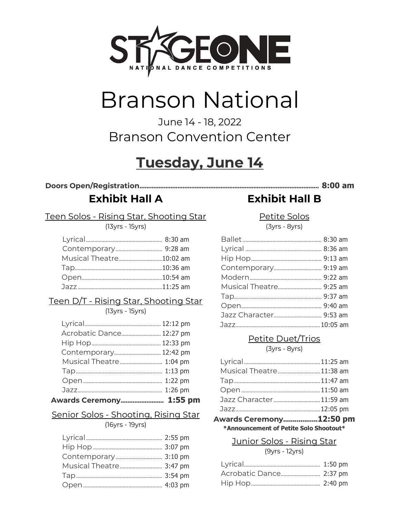

# **Branson National**

### June 14 - 18, 2022 **Branson Convention Center**

# **Tuesday, June 14**

### **Exhibit Hall A**

Teen Solos - Rising Star, Shooting Star

(13yrs - 15yrs)

| Musical Theatre10:02 am |
|-------------------------|
|                         |
|                         |
|                         |
|                         |

#### Teen D/T - Rising Star, Shooting Star

 $(13yrs - 15yrs)$ 

| Awards Ceremony 1:55 pm  |  |
|--------------------------|--|
|                          |  |
|                          |  |
|                          |  |
| Musical Theatre 1:04 pm  |  |
| Contemporary 12:42 pm    |  |
|                          |  |
| Acrobatic Dance 12:27 pm |  |
|                          |  |

#### Senior Solos - Shooting, Rising Star

(16yrs - 19yrs)

| Musical Theatre 3:47 pm |  |
|-------------------------|--|
|                         |  |
|                         |  |

## **Exhibit Hall B**

Petite Solos

 $(3yrs - 8yrs)$ 

#### Petite Duet/Trios (3yrs - 8yrs)

| $u$ ska Coromony 17.50 nr |  |
|---------------------------|--|
|                           |  |
| Jazz Character 11:59 am   |  |
|                           |  |
|                           |  |
| Musical Theatre 11:38 am  |  |
|                           |  |
|                           |  |

Awards Ceremony..................12:50 pm \*Announcement of Petite Solo Shootout\*

#### Junior Solos - Rising Star

 $(9yrs - 12yrs)$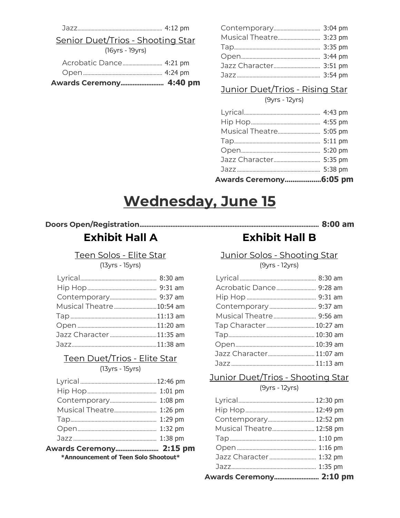Senior Duet/Trios - Shooting Star (16yrs - 19yrs)

| Awards Ceremony 4:40 pm |  |
|-------------------------|--|
|                         |  |
| Acrobatic Dance 4:21 pm |  |

| Musical Theatre 3:23 pm |  |
|-------------------------|--|
|                         |  |
|                         |  |
| Jazz Character 3:51 pm  |  |
|                         |  |
|                         |  |

#### Junior Duet/Trios - Rising Star

#### $(9yrs - 12yrs)$

| Musical Theatre 5:05 pm |  |
|-------------------------|--|
|                         |  |
|                         |  |
| Jazz Character 5:35 pm  |  |
|                         |  |
| Awards Ceremony 6:05 pm |  |

# **Wednesday, June 15**

#### 

**Exhibit Hall A** 

Teen Solos - Elite Star

(13yrs - 15yrs)

| Musical Theatre10:54 am |  |
|-------------------------|--|
|                         |  |
|                         |  |
| Jazz Character 11:35 am |  |
|                         |  |
|                         |  |

#### Teen Duet/Trios - Elite Star (13yrs - 15yrs)

| *Announcement of Teen Solo Shootout* |  |
|--------------------------------------|--|
|                                      |  |
|                                      |  |
|                                      |  |
|                                      |  |
| Musical Theatre 1:26 pm              |  |
|                                      |  |
|                                      |  |
|                                      |  |

**Exhibit Hall B** 

Junior Solos - Shooting Star

(9yrs - 12yrs)

| Musical Theatre 9:56 am |  |
|-------------------------|--|
| Tap Character 10:27 am  |  |
|                         |  |
|                         |  |
| Jazz Character 11:07 am |  |
|                         |  |

#### Junior Duet/Trios - Shooting Star

 $(9yrs - 12yrs)$ 

| Jazz Character  1:32 pm  |  |
|--------------------------|--|
|                          |  |
|                          |  |
| Musical Theatre 12:58 pm |  |
| Contemporary 12:52 pm    |  |
|                          |  |
|                          |  |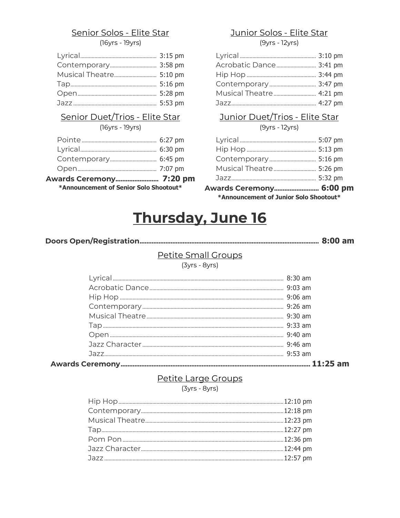#### Senior Solos - Elite Star

(16yrs - 19yrs)

(16yrs - 19yrs)

| *Announcement of Senior Solo Shootout* |  |  |
|----------------------------------------|--|--|
| <b>Awards Ceremony 7:20 pm</b>         |  |  |
|                                        |  |  |
|                                        |  |  |
|                                        |  |  |
|                                        |  |  |

#### Junior Solos - Elite Star

 $(9yrs - 12yrs)$ 

| Acrobatic Dance 3:41 pm |  |
|-------------------------|--|
|                         |  |
|                         |  |
| Musical Theatre 4:21 pm |  |
|                         |  |

#### Senior Duet/Trios - Elite Star Junior Duet/Trios - Elite Star

 $(9yrs - 12yrs)$ 

| Awards Ceremony 6:00 pm |  |
|-------------------------|--|
|                         |  |
| Musical Theatre 5:26 pm |  |
|                         |  |
|                         |  |
|                         |  |

**Announcement of Junior Solo Shootout\*** 

# **Thursday, June 16**

#### Petite Small Groups

(3yrs - 8yrs)

#### Petite Large Groups

(3yrs - 8yrs)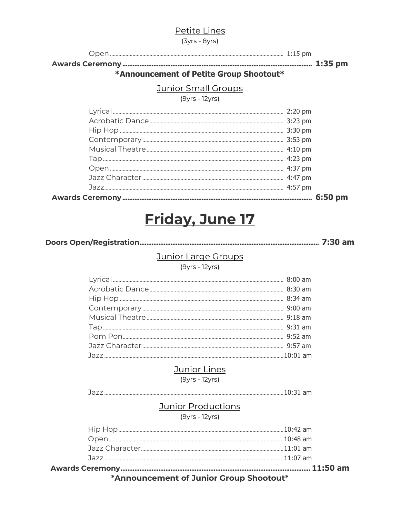#### Petite Lines

 $(3yrs - 8yrs)$ 

#### \*Announcement of Petite Group Shootout\*

#### **Junior Small Groups**

#### $(9yrs - 12yrs)$

# Friday, June 17

#### **Junior Large Groups**

 $(9yrs - 12yrs)$ 

#### **Junior Lines**

 $(9yrs - 12yrs)$ 

#### **Junior Productions**

 $(9yrs - 12yrs)$ 

\*Announcement of Junior Group Shootout\*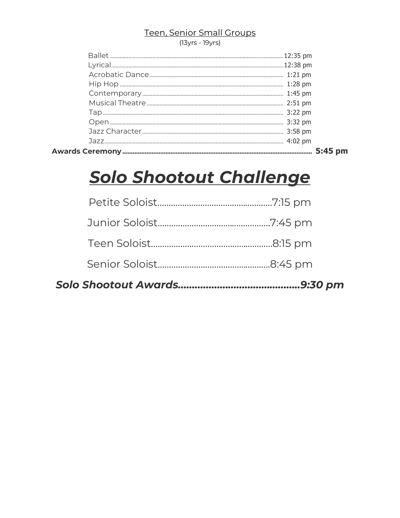#### Teen, Senior Small Groups

(13yrs - 19yrs)

# Solo Shootout Challenge